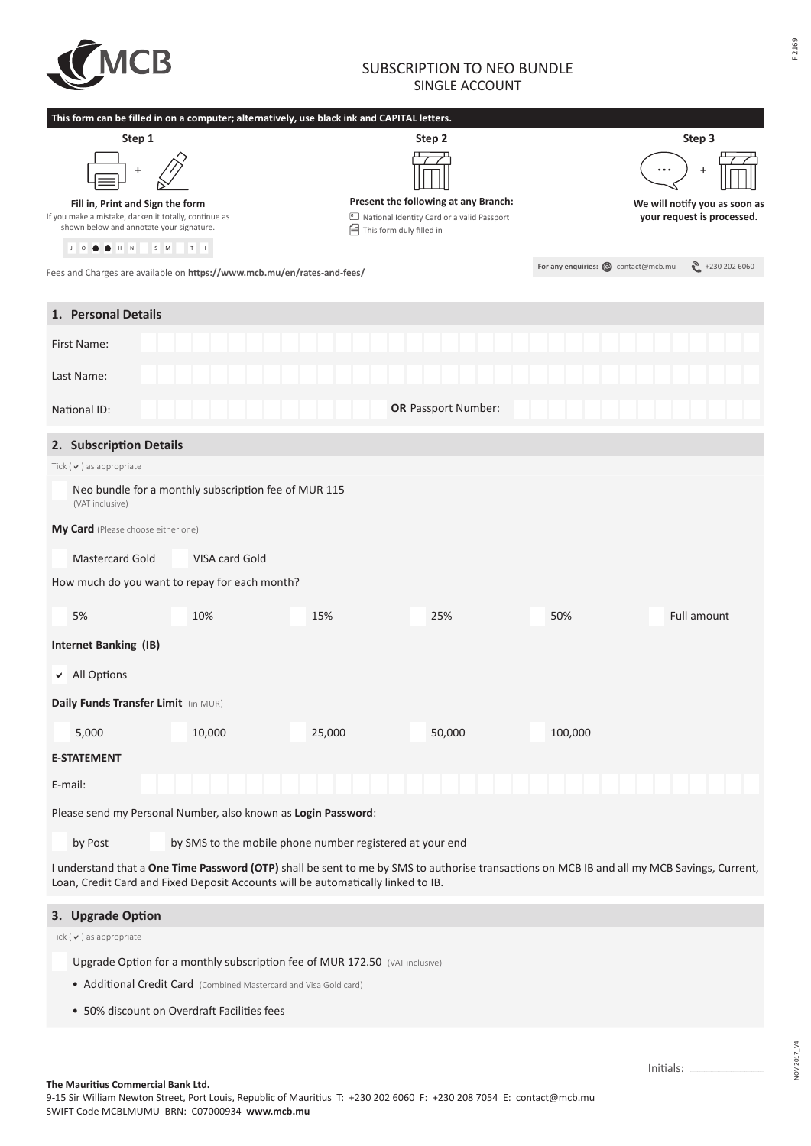

## SUBSCRIPTION TO NEO BUNDLE SINGLE ACCOUNT

|                                                                                                                                                                                                                                 | This form can be filled in on a computer; alternatively, use black ink and CAPITAL letters. |                            |                                              |                                     |                               |  |  |  |
|---------------------------------------------------------------------------------------------------------------------------------------------------------------------------------------------------------------------------------|---------------------------------------------------------------------------------------------|----------------------------|----------------------------------------------|-------------------------------------|-------------------------------|--|--|--|
| Step 1                                                                                                                                                                                                                          |                                                                                             | Step 2                     | Step 3                                       |                                     |                               |  |  |  |
|                                                                                                                                                                                                                                 |                                                                                             |                            |                                              |                                     |                               |  |  |  |
| Fill in, Print and Sign the form                                                                                                                                                                                                |                                                                                             |                            | Present the following at any Branch:         |                                     | We will notify you as soon as |  |  |  |
| If you make a mistake, darken it totally, continue as<br>shown below and annotate your signature.                                                                                                                               |                                                                                             | ■ This form duly filled in | 8 National Identity Card or a valid Passport |                                     | your request is processed.    |  |  |  |
| $J$ 0 0<br>$\mathsf{H}-\mathsf{N}$                                                                                                                                                                                              | $S$ $M$ $I$ $T$ $H$                                                                         |                            |                                              |                                     |                               |  |  |  |
|                                                                                                                                                                                                                                 | Fees and Charges are available on https://www.mcb.mu/en/rates-and-fees/                     |                            |                                              | For any enquiries: @ contact@mcb.mu | $\binom{30}{1}$ +230 202 6060 |  |  |  |
|                                                                                                                                                                                                                                 |                                                                                             |                            |                                              |                                     |                               |  |  |  |
| 1. Personal Details                                                                                                                                                                                                             |                                                                                             |                            |                                              |                                     |                               |  |  |  |
| First Name:                                                                                                                                                                                                                     |                                                                                             |                            |                                              |                                     |                               |  |  |  |
| Last Name:                                                                                                                                                                                                                      |                                                                                             |                            |                                              |                                     |                               |  |  |  |
| National ID:                                                                                                                                                                                                                    |                                                                                             |                            | <b>OR Passport Number:</b>                   |                                     |                               |  |  |  |
| 2. Subscription Details                                                                                                                                                                                                         |                                                                                             |                            |                                              |                                     |                               |  |  |  |
| Tick ( $\vee$ ) as appropriate                                                                                                                                                                                                  |                                                                                             |                            |                                              |                                     |                               |  |  |  |
| (VAT inclusive)                                                                                                                                                                                                                 | Neo bundle for a monthly subscription fee of MUR 115                                        |                            |                                              |                                     |                               |  |  |  |
| My Card (Please choose either one)                                                                                                                                                                                              |                                                                                             |                            |                                              |                                     |                               |  |  |  |
| <b>Mastercard Gold</b><br>VISA card Gold                                                                                                                                                                                        |                                                                                             |                            |                                              |                                     |                               |  |  |  |
| How much do you want to repay for each month?                                                                                                                                                                                   |                                                                                             |                            |                                              |                                     |                               |  |  |  |
| 5%                                                                                                                                                                                                                              | 10%                                                                                         | 15%                        | 25%                                          | 50%                                 | Full amount                   |  |  |  |
| <b>Internet Banking (IB)</b>                                                                                                                                                                                                    |                                                                                             |                            |                                              |                                     |                               |  |  |  |
| All Options<br>✔                                                                                                                                                                                                                |                                                                                             |                            |                                              |                                     |                               |  |  |  |
| Daily Funds Transfer Limit (in MUR)                                                                                                                                                                                             |                                                                                             |                            |                                              |                                     |                               |  |  |  |
| 5,000                                                                                                                                                                                                                           | 10,000                                                                                      | 25,000                     | 50,000                                       | 100,000                             |                               |  |  |  |
| <b>E-STATEMENT</b>                                                                                                                                                                                                              |                                                                                             |                            |                                              |                                     |                               |  |  |  |
| E-mail:                                                                                                                                                                                                                         |                                                                                             |                            |                                              |                                     |                               |  |  |  |
| Please send my Personal Number, also known as Login Password:                                                                                                                                                                   |                                                                                             |                            |                                              |                                     |                               |  |  |  |
| by Post                                                                                                                                                                                                                         | by SMS to the mobile phone number registered at your end                                    |                            |                                              |                                     |                               |  |  |  |
| I understand that a One Time Password (OTP) shall be sent to me by SMS to authorise transactions on MCB IB and all my MCB Savings, Current,<br>Loan, Credit Card and Fixed Deposit Accounts will be automatically linked to IB. |                                                                                             |                            |                                              |                                     |                               |  |  |  |
| 3. Upgrade Option                                                                                                                                                                                                               |                                                                                             |                            |                                              |                                     |                               |  |  |  |

Tick ( $\checkmark$ ) as appropriate

Upgrade Option for a monthly subscription fee of MUR 172.50 (VAT inclusive)

- Additional Credit Card (Combined Mastercard and Visa Gold card)
- 50% discount on Overdraft Facilities fees